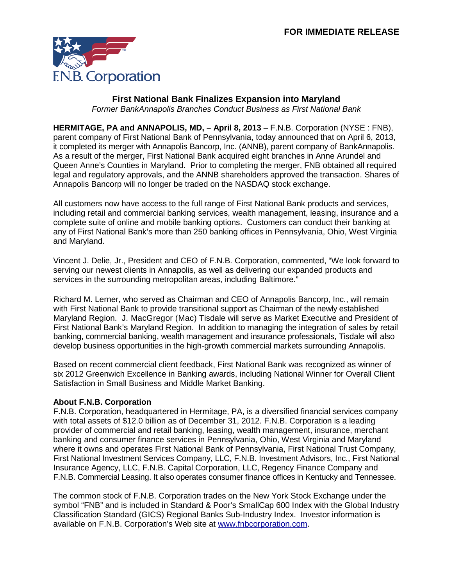

## **First National Bank Finalizes Expansion into Maryland**

*Former BankAnnapolis Branches Conduct Business as First National Bank*

**HERMITAGE, PA and ANNAPOLIS, MD, – April 8, 2013** – F.N.B. Corporation (NYSE : FNB), parent company of First National Bank of Pennsylvania, today announced that on April 6, 2013, it completed its merger with Annapolis Bancorp, Inc. (ANNB), parent company of BankAnnapolis. As a result of the merger, First National Bank acquired eight branches in Anne Arundel and Queen Anne's Counties in Maryland. Prior to completing the merger, FNB obtained all required legal and regulatory approvals, and the ANNB shareholders approved the transaction. Shares of Annapolis Bancorp will no longer be traded on the NASDAQ stock exchange.

All customers now have access to the full range of First National Bank products and services, including retail and commercial banking services, wealth management, leasing, insurance and a complete suite of online and mobile banking options. Customers can conduct their banking at any of First National Bank's more than 250 banking offices in Pennsylvania, Ohio, West Virginia and Maryland.

Vincent J. Delie, Jr., President and CEO of F.N.B. Corporation, commented, "We look forward to serving our newest clients in Annapolis, as well as delivering our expanded products and services in the surrounding metropolitan areas, including Baltimore."

Richard M. Lerner, who served as Chairman and CEO of Annapolis Bancorp, Inc., will remain with First National Bank to provide transitional support as Chairman of the newly established Maryland Region. J. MacGregor (Mac) Tisdale will serve as Market Executive and President of First National Bank's Maryland Region. In addition to managing the integration of sales by retail banking, commercial banking, wealth management and insurance professionals, Tisdale will also develop business opportunities in the high-growth commercial markets surrounding Annapolis.

Based on recent commercial client feedback, First National Bank was recognized as winner of six 2012 Greenwich Excellence in Banking awards, including National Winner for Overall Client Satisfaction in Small Business and Middle Market Banking.

## **About F.N.B. Corporation**

F.N.B. Corporation, headquartered in Hermitage, PA, is a diversified financial services company with total assets of \$12.0 billion as of December 31, 2012. F.N.B. Corporation is a leading provider of commercial and retail banking, leasing, wealth management, insurance, merchant banking and consumer finance services in Pennsylvania, Ohio, West Virginia and Maryland where it owns and operates First National Bank of Pennsylvania, First National Trust Company, First National Investment Services Company, LLC, F.N.B. Investment Advisors, Inc., First National Insurance Agency, LLC, F.N.B. Capital Corporation, LLC, Regency Finance Company and F.N.B. Commercial Leasing. It also operates consumer finance offices in Kentucky and Tennessee.

The common stock of F.N.B. Corporation trades on the New York Stock Exchange under the symbol "FNB" and is included in Standard & Poor's SmallCap 600 Index with the Global Industry Classification Standard (GICS) Regional Banks Sub-Industry Index. Investor information is available on F.N.B. Corporation's Web site at [www.fnbcorporation.com.](http://www.fnbcorporation.com/)